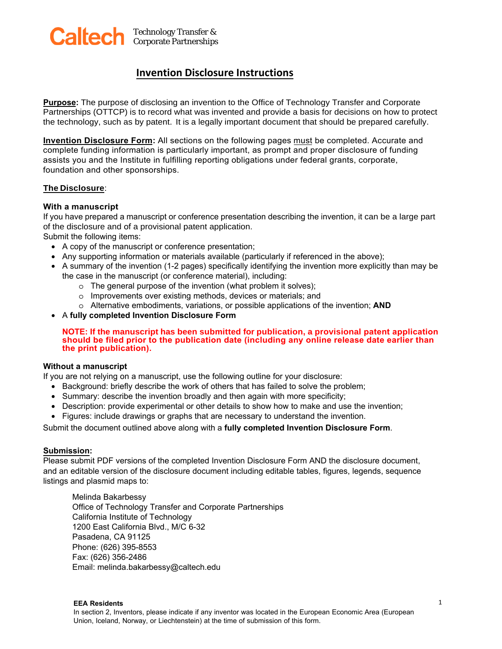

## **Invention Disclosure Instructions**

**Purpose:** The purpose of disclosing an invention to the Office of Technology Transfer and Corporate Partnerships (OTTCP) is to record what was invented and provide a basis for decisions on how to protect the technology, such as by patent. It is a legally important document that should be prepared carefully.

**Invention Disclosure Form:** All sections on the following pages must be completed. Accurate and complete funding information is particularly important, as prompt and proper disclosure of funding assists you and the Institute in fulfilling reporting obligations under federal grants, corporate, foundation and other sponsorships.

#### **The Disclosure**:

#### **With a manuscript**

If you have prepared a manuscript or conference presentation describing the invention, it can be a large part of the disclosure and of a provisional patent application.

Submit the following items:

- A copy of the manuscript or conference presentation;
- Any supporting information or materials available (particularly if referenced in the above);
- A summary of the invention (1-2 pages) specifically identifying the invention more explicitly than may be the case in the manuscript (or conference material), including:
	- o The general purpose of the invention (what problem it solves);
	- o Improvements over existing methods, devices or materials; and
	- o Alternative embodiments, variations, or possible applications of the invention; **AND**
- A **fully completed Invention Disclosure Form**

#### **NOTE: If the manuscript has been submitted for publication, a provisional patent application should be filed prior to the publication date (including any online release date earlier than the print publication).**

### **Without a manuscript**

If you are not relying on a manuscript, use the following outline for your disclosure:

- Background: briefly describe the work of others that has failed to solve the problem;
- Summary: describe the invention broadly and then again with more specificity;
- Description: provide experimental or other details to show how to make and use the invention;
- Figures: include drawings or graphs that are necessary to understand the invention.

Submit the document outlined above along with a **fully completed Invention Disclosure Form**.

### **Submission:**

Please submit PDF versions of the completed Invention Disclosure Form AND the disclosure document, and an editable version of the disclosure document including editable tables, figures, legends, sequence listings and plasmid maps to:

Melinda Bakarbessy Office of Technology Transfer and Corporate Partnerships California Institute of Technology 1200 East California Blvd., M/C 6-32 Pasadena, CA 91125 Phone: (626) 395-85[53](mailto:melinda.bakarbessy@caltech.edu) Fax: (626) 356-2486 Email: melinda.bakarbessy@caltech.edu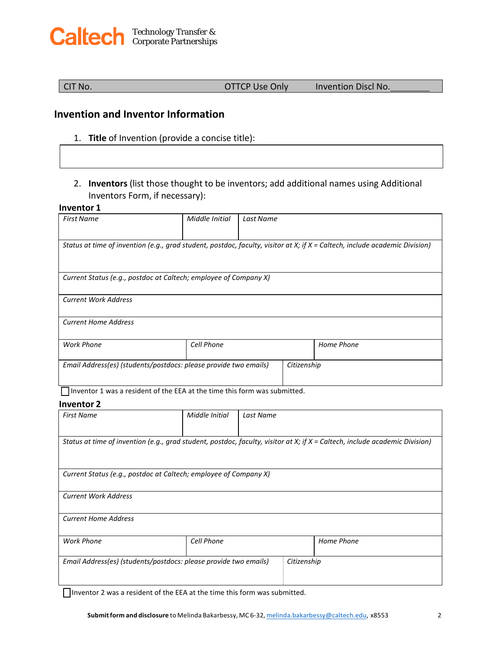# Technology Transfer & Corporate Partnerships

CIT No. OTTCP Use Only Invention Discl No.

# **Invention and Inventor Information**

- 1. **Title** of Invention (provide a concise title):
- 2. **Inventors** (list those thought to be inventors; add additional names using Additional Inventors Form, if necessary):

### **Inventor 1**

| <b>First Name</b>                                                                                                           | Middle Initial | Last Name   |            |  |
|-----------------------------------------------------------------------------------------------------------------------------|----------------|-------------|------------|--|
|                                                                                                                             |                |             |            |  |
| Status at time of invention (e.g., grad student, postdoc, faculty, visitor at X; if X = Caltech, include academic Division) |                |             |            |  |
|                                                                                                                             |                |             |            |  |
| Current Status (e.g., postdoc at Caltech; employee of Company X)                                                            |                |             |            |  |
| <b>Current Work Address</b>                                                                                                 |                |             |            |  |
| <b>Current Home Address</b>                                                                                                 |                |             |            |  |
| <b>Work Phone</b>                                                                                                           | Cell Phone     |             | Home Phone |  |
| Email Address(es) (students/postdocs: please provide two emails)                                                            |                | Citizenship |            |  |
| $\blacksquare$ .                                                                                                            |                |             |            |  |

Inventor 1 was a resident of the EEA at the time this form was submitted.

#### **Inventor 2**

| <b>First Name</b>                                                | Middle Initial | Last Name |                                                                                                                             |  |
|------------------------------------------------------------------|----------------|-----------|-----------------------------------------------------------------------------------------------------------------------------|--|
|                                                                  |                |           |                                                                                                                             |  |
|                                                                  |                |           | Status at time of invention (e.g., grad student, postdoc, faculty, visitor at X; if X = Caltech, include academic Division) |  |
|                                                                  |                |           |                                                                                                                             |  |
|                                                                  |                |           |                                                                                                                             |  |
| Current Status (e.g., postdoc at Caltech; employee of Company X) |                |           |                                                                                                                             |  |
| <b>Current Work Address</b>                                      |                |           |                                                                                                                             |  |
| <b>Current Home Address</b>                                      |                |           |                                                                                                                             |  |
| <b>Work Phone</b>                                                | Cell Phone     |           | Home Phone                                                                                                                  |  |
| Email Address(es) (students/postdocs: please provide two emails) |                |           | Citizenship                                                                                                                 |  |
|                                                                  |                |           |                                                                                                                             |  |

Inventor 2 was a resident of the EEA at the time this form was submitted.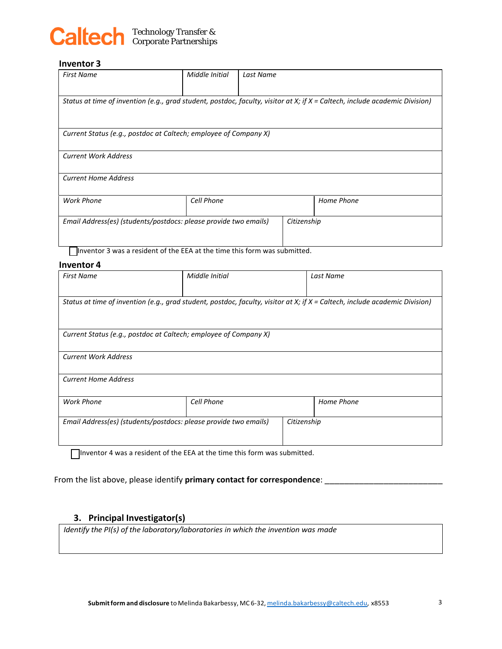

### **Inventor 3**

| <b>First Name</b>                                                                                                             | Middle Initial | Last Name   |            |
|-------------------------------------------------------------------------------------------------------------------------------|----------------|-------------|------------|
| Status at time of invention (e.g., grad student, postdoc, faculty, visitor at X; if $X =$ Caltech, include academic Division) |                |             |            |
| Current Status (e.g., postdoc at Caltech; employee of Company X)                                                              |                |             |            |
| <b>Current Work Address</b>                                                                                                   |                |             |            |
| <b>Current Home Address</b>                                                                                                   |                |             |            |
| <b>Work Phone</b>                                                                                                             | Cell Phone     |             | Home Phone |
| Email Address(es) (students/postdocs: please provide two emails)                                                              |                | Citizenship |            |

Inventor 3 was a resident of the EEA at the time this form was submitted.

#### **Inventor 4**

| <b>First Name</b>                                                                                                           | Middle Initial | Last Name   |  |  |
|-----------------------------------------------------------------------------------------------------------------------------|----------------|-------------|--|--|
| Status at time of invention (e.g., grad student, postdoc, faculty, visitor at X; if X = Caltech, include academic Division) |                |             |  |  |
| Current Status (e.g., postdoc at Caltech; employee of Company X)                                                            |                |             |  |  |
| <b>Current Work Address</b>                                                                                                 |                |             |  |  |
| <b>Current Home Address</b>                                                                                                 |                |             |  |  |
| <b>Work Phone</b>                                                                                                           | Cell Phone     | Home Phone  |  |  |
| Email Address(es) (students/postdocs: please provide two emails)                                                            |                | Citizenship |  |  |

Inventor 4 was a resident of the EEA at the time this form was submitted.

From the list above, please identify **primary contact for correspondence**: \_\_\_\_\_\_\_\_\_\_\_\_\_\_\_\_\_\_\_\_\_\_\_\_

## **3. Principal Investigator(s)**

*Identify the PI(s) of the laboratory/laboratories in which the invention was made*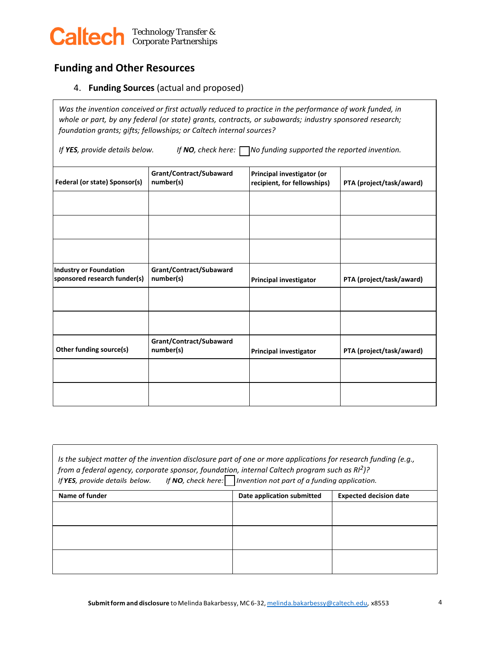

# **Funding and Other Resources**

ſ

4. **Funding Sources** (actual and proposed)

*Was the invention conceived or first actually reduced to practice in the performance of work funded, in whole or part, by any federal (or state) grants, contracts, or subawards; industry sponsored research; foundation grants; gifts; fellowships; or Caltech internal sources?*

*If YES, provide details below. If NO, check here: No funding supported the reported invention.*

| Federal (or state) Sponsor(s)                                 | Grant/Contract/Subaward<br>number(s) | Principal investigator (or<br>recipient, for fellowships) | PTA (project/task/award) |
|---------------------------------------------------------------|--------------------------------------|-----------------------------------------------------------|--------------------------|
|                                                               |                                      |                                                           |                          |
|                                                               |                                      |                                                           |                          |
|                                                               |                                      |                                                           |                          |
| <b>Industry or Foundation</b><br>sponsored research funder(s) | Grant/Contract/Subaward<br>number(s) | <b>Principal investigator</b>                             | PTA (project/task/award) |
|                                                               |                                      |                                                           |                          |
|                                                               |                                      |                                                           |                          |
| Other funding source(s)                                       | Grant/Contract/Subaward<br>number(s) | <b>Principal investigator</b>                             | PTA (project/task/award) |
|                                                               |                                      |                                                           |                          |
|                                                               |                                      |                                                           |                          |

| Is the subject matter of the invention disclosure part of one or more applications for research funding (e.g.,<br>from a federal agency, corporate sponsor, foundation, internal Caltech program such as $R^2$ ?<br>If <b>YES</b> , provide details below. If NO, check here: Invention not part of a funding application. |                            |                               |  |
|----------------------------------------------------------------------------------------------------------------------------------------------------------------------------------------------------------------------------------------------------------------------------------------------------------------------------|----------------------------|-------------------------------|--|
| Name of funder                                                                                                                                                                                                                                                                                                             | Date application submitted | <b>Expected decision date</b> |  |
|                                                                                                                                                                                                                                                                                                                            |                            |                               |  |
|                                                                                                                                                                                                                                                                                                                            |                            |                               |  |
|                                                                                                                                                                                                                                                                                                                            |                            |                               |  |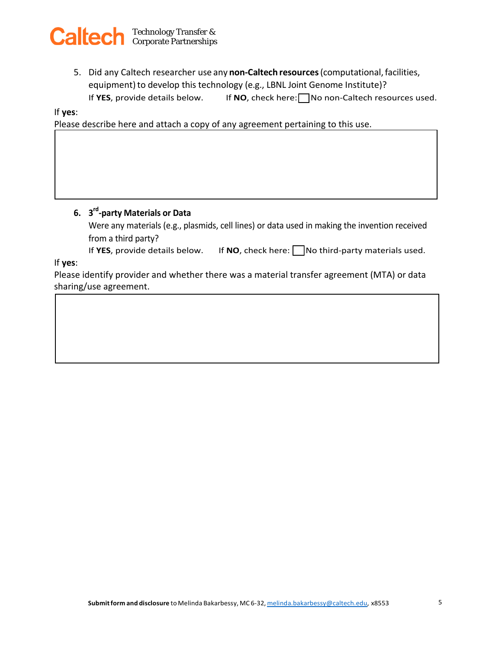

5. Did any Caltech researcher use any **non-Caltech resources**(computational,facilities, equipment) to develop this technology (e.g., LBNL Joint Genome Institute)? If YES, provide details below. If NO, check here: No non-Caltech resources used.

If **yes**:

Please describe here and attach a copy of any agreement pertaining to this use.

## **6. 3rd-party Materials or Data**

Were any materials (e.g., plasmids, cell lines) or data used in making the invention received from a third party?

If **YES**, provide details below. If **NO**, check here:  $\Box$  No third-party materials used.

If **yes**:

Please identify provider and whether there was a material transfer agreement (MTA) or data sharing/use agreement.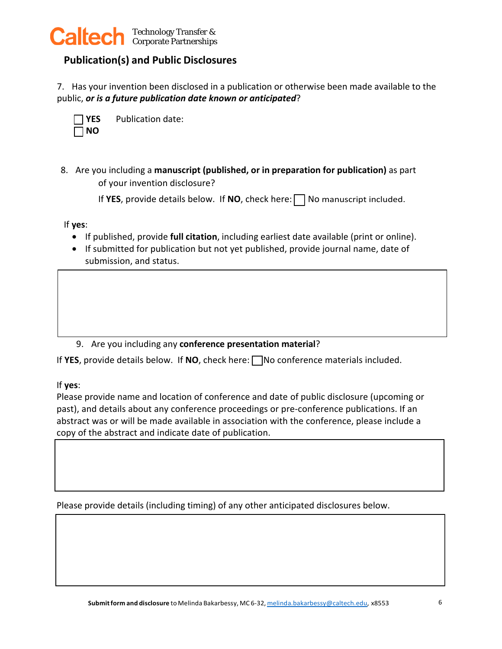

# **Publication(s) and Public Disclosures**

7. Has your invention been disclosed in a publication or otherwise been made available to the public, *or is a future publication date known or anticipated*?

| N |
|---|

**YES** Publication date:

of your invention disclosure? 8. Are you including a **manuscript (published, or in preparation for publication)** as part

If **YES**, provide details below. If **NO**, check here:  $\Box$  No manuscript included.

If **yes**:

- If published, provide **full citation**, including earliest date available (print or online).
- If submitted for publication but not yet published, provide journal name, date of submission, and status.

9. Are you including any **conference presentation material**?

If YES, provide details below. If  $NO$ , check here:  $\Box$  No conference materials included.

If **yes**:

Please provide name and location of conference and date of public disclosure (upcoming or past), and details about any conference proceedings or pre-conference publications. If an abstract was or will be made available in association with the conference, please include a copy of the abstract and indicate date of publication.

Please provide details (including timing) of any other anticipated disclosures below.